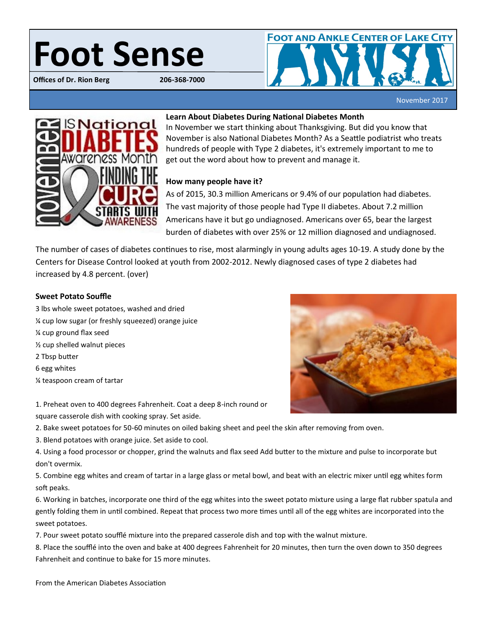# Foot Sense

**Offices of Dr. Rion Berg** 



November 2017



# **Learn About Diabetes During National Diabetes Month**

In November we start thinking about Thanksgiving. But did you know that November is also National Diabetes Month? As a Seattle podiatrist who treats hundreds of people with Type 2 diabetes, it's extremely important to me to get out the word about how to prevent and manage it.

# **How many people have it?**

As of 2015, 30.3 million Americans or 9.4% of our population had diabetes. The vast majority of those people had Type II diabetes. About 7.2 million Americans have it but go undiagnosed. Americans over 65, bear the largest burden of diabetes with over 25% or 12 million diagnosed and undiagnosed.

The number of cases of diabetes continues to rise, most alarmingly in young adults ages 10-19. A study done by the Centers for Disease Control looked at youth from 2002-2012. Newly diagnosed cases of type 2 diabetes had increased by 4.8 percent. (over)

## **Sweet Potato Souffle**

3 lbs whole sweet potatoes, washed and dried ¼ cup low sugar (or freshly squeezed) orange juice ¼ cup ground flax seed ½ cup shelled walnut pieces 2 Tbsp butter 6 egg whites ¼ teaspoon cream of tartar

1. Preheat oven to 400 degrees Fahrenheit. Coat a deep 8-inch round or

square casserole dish with cooking spray. Set aside.



2. Bake sweet potatoes for 50-60 minutes on oiled baking sheet and peel the skin after removing from oven.

3. Blend potatoes with orange juice. Set aside to cool.

4. Using a food processor or chopper, grind the walnuts and flax seed Add butter to the mixture and pulse to incorporate but don't overmix.

5. Combine egg whites and cream of tartar in a large glass or metal bowl, and beat with an electric mixer until egg whites form soft peaks.

6. Working in batches, incorporate one third of the egg whites into the sweet potato mixture using a large flat rubber spatula and gently folding them in until combined. Repeat that process two more times until all of the egg whites are incorporated into the sweet potatoes.

7. Pour sweet potato soufflé mixture into the prepared casserole dish and top with the walnut mixture.

8. Place the soufflé into the oven and bake at 400 degrees Fahrenheit for 20 minutes, then turn the oven down to 350 degrees Fahrenheit and continue to bake for 15 more minutes.